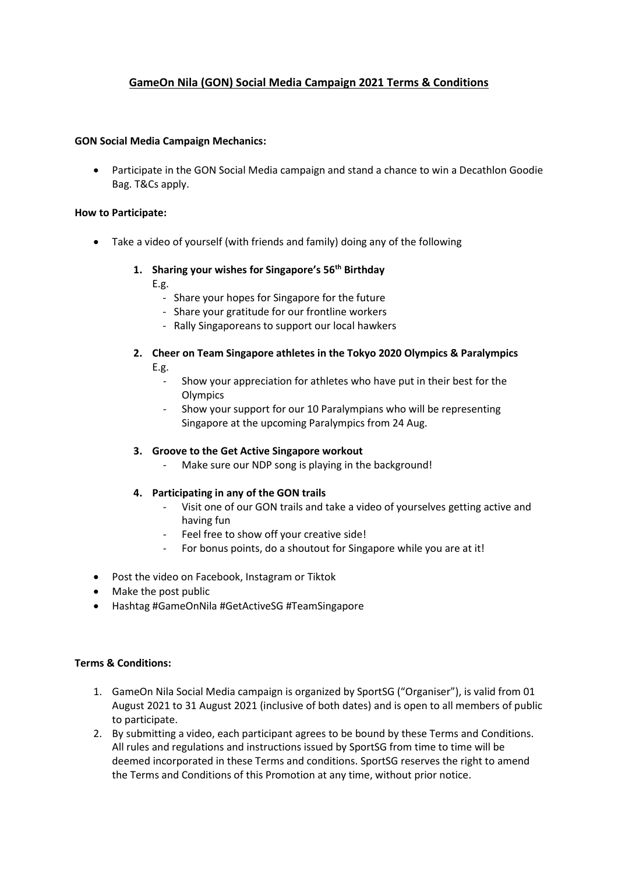## **GameOn Nila (GON) Social Media Campaign 2021 Terms & Conditions**

### **GON Social Media Campaign Mechanics:**

• Participate in the GON Social Media campaign and stand a chance to win a Decathlon Goodie Bag. T&Cs apply.

#### **How to Participate:**

• Take a video of yourself (with friends and family) doing any of the following

# **1. Sharing your wishes for Singapore's 56th Birthday**

E.g.

- Share your hopes for Singapore for the future
- Share your gratitude for our frontline workers
- Rally Singaporeans to support our local hawkers
- **2. Cheer on Team Singapore athletes in the Tokyo 2020 Olympics & Paralympics** E.g.
	- Show your appreciation for athletes who have put in their best for the **Olympics**
	- Show your support for our 10 Paralympians who will be representing Singapore at the upcoming Paralympics from 24 Aug.

### **3. Groove to the Get Active Singapore workout**

Make sure our NDP song is playing in the background!

### **4. Participating in any of the GON trails**

- Visit one of our GON trails and take a video of yourselves getting active and having fun
- Feel free to show off your creative side!
- For bonus points, do a shoutout for Singapore while you are at it!
- Post the video on Facebook, Instagram or Tiktok
- Make the post public
- Hashtag #GameOnNila #GetActiveSG #TeamSingapore

### **Terms & Conditions:**

- 1. GameOn Nila Social Media campaign is organized by SportSG ("Organiser"), is valid from 01 August 2021 to 31 August 2021 (inclusive of both dates) and is open to all members of public to participate.
- 2. By submitting a video, each participant agrees to be bound by these Terms and Conditions. All rules and regulations and instructions issued by SportSG from time to time will be deemed incorporated in these Terms and conditions. SportSG reserves the right to amend the Terms and Conditions of this Promotion at any time, without prior notice.